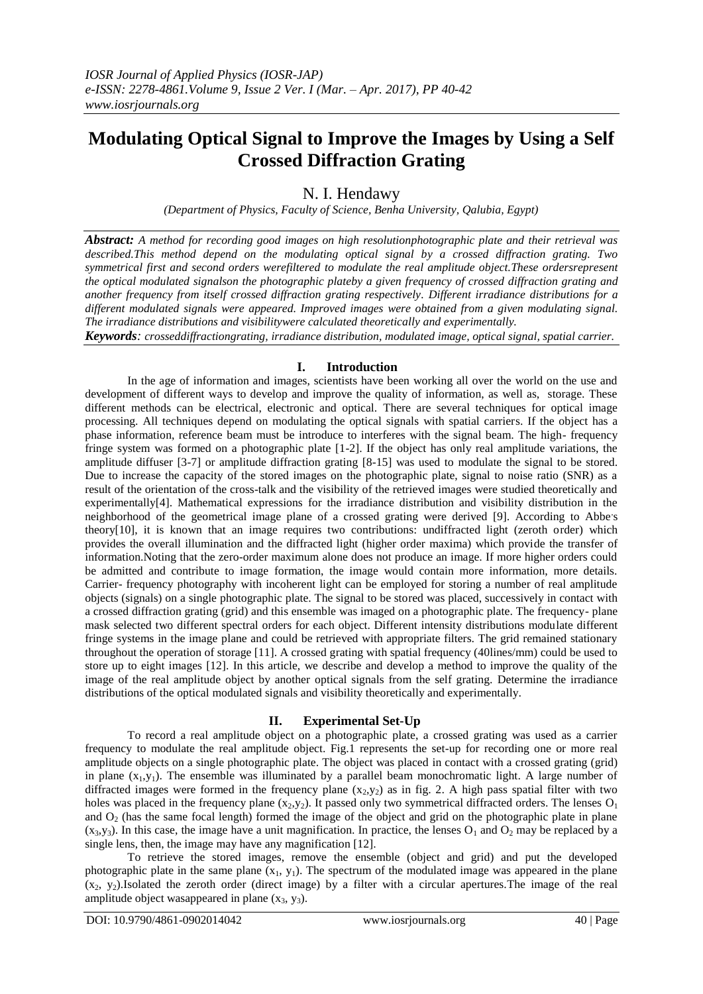# **Modulating Optical Signal to Improve the Images by Using a Self Crossed Diffraction Grating**

# N. I. Hendawy

*(Department of Physics, Faculty of Science, Benha University, Qalubia, Egypt)*

*Abstract: A method for recording good images on high resolutionphotographic plate and their retrieval was described.This method depend on the modulating optical signal by a crossed diffraction grating. Two symmetrical first and second orders werefiltered to modulate the real amplitude object.These ordersrepresent the optical modulated signalson the photographic plateby a given frequency of crossed diffraction grating and another frequency from itself crossed diffraction grating respectively. Different irradiance distributions for a different modulated signals were appeared. Improved images were obtained from a given modulating signal. The irradiance distributions and visibilitywere calculated theoretically and experimentally.*

*Keywords: crosseddiffractiongrating, irradiance distribution, modulated image, optical signal, spatial carrier.* 

### **I. Introduction**

In the age of information and images, scientists have been working all over the world on the use and development of different ways to develop and improve the quality of information, as well as, storage. These different methods can be electrical, electronic and optical. There are several techniques for optical image processing. All techniques depend on modulating the optical signals with spatial carriers. If the object has a phase information, reference beam must be introduce to interferes with the signal beam. The high- frequency fringe system was formed on a photographic plate [1-2]. If the object has only real amplitude variations, the amplitude diffuser [3-7] or amplitude diffraction grating [8-15] was used to modulate the signal to be stored. Due to increase the capacity of the stored images on the photographic plate, signal to noise ratio (SNR) as a result of the orientation of the cross-talk and the visibility of the retrieved images were studied theoretically and experimentally[4]. Mathematical expressions for the irradiance distribution and visibility distribution in the neighborhood of the geometrical image plane of a crossed grating were derived [9]. According to Abbe's theory[10], it is known that an image requires two contributions: undiffracted light (zeroth order) which provides the overall illumination and the diffracted light (higher order maxima) which provide the transfer of information.Noting that the zero-order maximum alone does not produce an image. If more higher orders could be admitted and contribute to image formation, the image would contain more information, more details. Carrier- frequency photography with incoherent light can be employed for storing a number of real amplitude objects (signals) on a single photographic plate. The signal to be stored was placed, successively in contact with a crossed diffraction grating (grid) and this ensemble was imaged on a photographic plate. The frequency- plane mask selected two different spectral orders for each object. Different intensity distributions modulate different fringe systems in the image plane and could be retrieved with appropriate filters. The grid remained stationary throughout the operation of storage [11]. A crossed grating with spatial frequency (40lines/mm) could be used to store up to eight images [12]. In this article, we describe and develop a method to improve the quality of the image of the real amplitude object by another optical signals from the self grating. Determine the irradiance distributions of the optical modulated signals and visibility theoretically and experimentally.

#### **II. Experimental Set-Up**

To record a real amplitude object on a photographic plate, a crossed grating was used as a carrier frequency to modulate the real amplitude object. Fig.1 represents the set-up for recording one or more real amplitude objects on a single photographic plate. The object was placed in contact with a crossed grating (grid) in plane  $(x_1,y_1)$ . The ensemble was illuminated by a parallel beam monochromatic light. A large number of diffracted images were formed in the frequency plane  $(x_2,y_2)$  as in fig. 2. A high pass spatial filter with two holes was placed in the frequency plane  $(x_2,y_2)$ . It passed only two symmetrical diffracted orders. The lenses  $O_1$ and  $O<sub>2</sub>$  (has the same focal length) formed the image of the object and grid on the photographic plate in plane  $(x_3, y_3)$ . In this case, the image have a unit magnification. In practice, the lenses O<sub>1</sub> and O<sub>2</sub> may be replaced by a single lens, then, the image may have any magnification [12].

To retrieve the stored images, remove the ensemble (object and grid) and put the developed photographic plate in the same plane  $(x_1, y_1)$ . The spectrum of the modulated image was appeared in the plane  $(x_2, y_2)$ .Isolated the zeroth order (direct image) by a filter with a circular apertures. The image of the real amplitude object was appeared in plane  $(x_3, y_3)$ .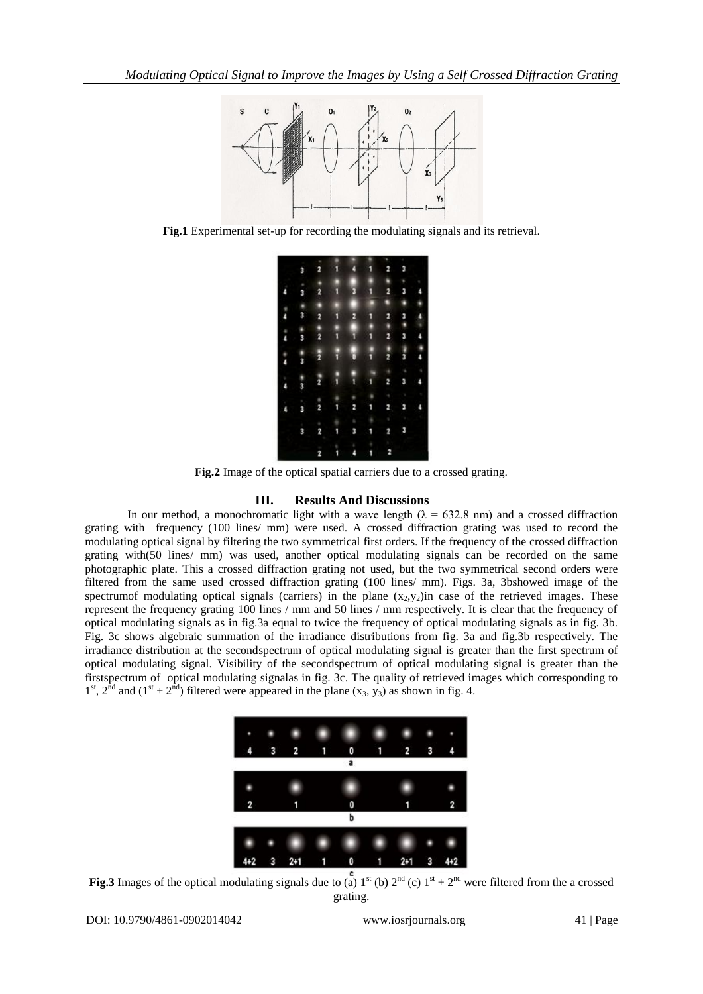

**Fig.1** Experimental set-up for recording the modulating signals and its retrieval.

|   |               |               |   |   |               | ٠             |        |   |
|---|---------------|---------------|---|---|---------------|---------------|--------|---|
|   | 3             | 2             | ۱ | 4 | 1             | 2             | 3      |   |
|   | ٠             | ٠             |   |   | i             |               | ٠      |   |
|   | 3             | 2             | i | 3 | $\frac{1}{2}$ | 2             | 3      |   |
|   |               | ۵             |   |   |               | j             |        |   |
| Į | $\frac{1}{3}$ | 2             | i | 2 | ī             | 2             | a<br>a | 4 |
|   |               |               |   |   |               |               |        |   |
| i | *<br>3        | $\frac{1}{2}$ | l | i | j             | $\frac{1}{2}$ | 3      | 4 |
| i | $\frac{1}{3}$ | ž             | ŧ | ö | i             | $\frac{1}{2}$ | 3      | Į |
| ņ | 3             | ž             | i | i | 1             | 2             | 3      | ۵ |
|   | r             |               |   |   |               | ٠             |        |   |
|   | 3             | $\frac{8}{2}$ | 1 | 2 | 1             | 2             | 3      |   |
|   |               | ۰             |   |   |               |               |        |   |
|   | 3             | 2             | 1 | 3 | 1             | 2             | 3      |   |
|   |               |               |   |   |               |               |        |   |
|   |               | 2             |   |   |               | 2             |        |   |

**Fig.2** Image of the optical spatial carriers due to a crossed grating.

## **III. Results And Discussions**

In our method, a monochromatic light with a wave length ( $\lambda = 632.8$  nm) and a crossed diffraction grating with frequency (100 lines/ mm) were used. A crossed diffraction grating was used to record the modulating optical signal by filtering the two symmetrical first orders. If the frequency of the crossed diffraction grating with(50 lines/ mm) was used, another optical modulating signals can be recorded on the same photographic plate. This a crossed diffraction grating not used, but the two symmetrical second orders were filtered from the same used crossed diffraction grating (100 lines/ mm). Figs. 3a, 3bshowed image of the spectrumof modulating optical signals (carriers) in the plane  $(x_2, y_2)$  case of the retrieved images. These represent the frequency grating 100 lines / mm and 50 lines / mm respectively. It is clear that the frequency of optical modulating signals as in fig.3a equal to twice the frequency of optical modulating signals as in fig. 3b. Fig. 3c shows algebraic summation of the irradiance distributions from fig. 3a and fig.3b respectively. The irradiance distribution at the secondspectrum of optical modulating signal is greater than the first spectrum of optical modulating signal. Visibility of the secondspectrum of optical modulating signal is greater than the firstspectrum of optical modulating signalas in fig. 3c. The quality of retrieved images which corresponding to  $1<sup>st</sup>$ ,  $2<sup>nd</sup>$  and  $(1<sup>st</sup> + 2<sup>nd</sup>)$  filtered were appeared in the plane  $(x<sub>3</sub>, y<sub>3</sub>)$  as shown in fig. 4.



**Fig.3** Images of the optical modulating signals due to (a)  $1^{st}$  (b)  $2^{nd}$  (c)  $1^{st} + 2^{nd}$  were filtered from the a crossed grating.